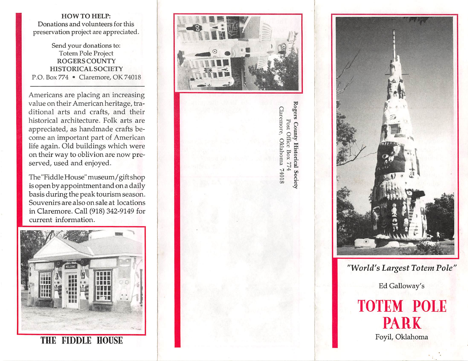## HOW TO HELP: Donations and volunteers for this preservation project are appreciated.

Send your donations to: Totem Pole Project ROGERS COUNTY HISTORICAL SOCIETY P.O. Box 774 • Claremore, OK 74018

Americans are placing an increasing value on their American heritage, tra ditional arts and crafts, and their historical architecture. Folk arts are appreciated, as handmade crafts be come an important part of American life again. Old buildings which were on their way to oblivion are now pre served, used and enjoyed.

The "Fiddle House" museum/gift shop is open by appointment and on a daily basis during the peak tourism season. Souvenirs are also on sale at locations in Claremore. Call (918) 342-9149 for current information.



THE FIDDLE HOUSE



Rogers County Historical Society Claremore, Post Office Box 774 Oklahoma 74018



"World's Largest Totem Pole"

Ed Galloway's

## TOTEM POLE PARK Foyil, Oklahoma